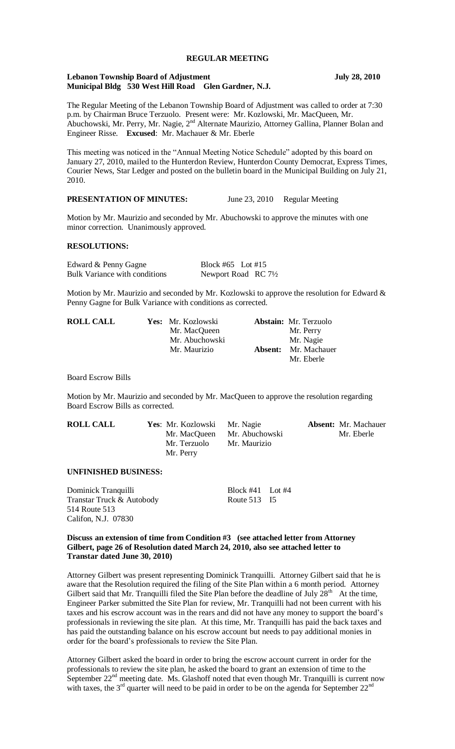#### **REGULAR MEETING**

#### **Lebanon Township Board of Adjustment July 28, 2010 Municipal Bldg 530 West Hill Road Glen Gardner, N.J.**

The Regular Meeting of the Lebanon Township Board of Adjustment was called to order at 7:30 p.m. by Chairman Bruce Terzuolo. Present were: Mr. Kozlowski, Mr. MacQueen, Mr. Abuchowski, Mr. Perry, Mr. Nagie, 2<sup>nd</sup> Alternate Maurizio, Attorney Gallina, Planner Bolan and Engineer Risse. **Excused**: Mr. Machauer & Mr. Eberle

This meeting was noticed in the "Annual Meeting Notice Schedule" adopted by this board on January 27, 2010, mailed to the Hunterdon Review, Hunterdon County Democrat, Express Times, Courier News, Star Ledger and posted on the bulletin board in the Municipal Building on July 21, 2010.

## **PRESENTATION OF MINUTES:** June 23, 2010 Regular Meeting

Motion by Mr. Maurizio and seconded by Mr. Abuchowski to approve the minutes with one minor correction. Unanimously approved.

#### **RESOLUTIONS:**

Edward & Penny Gagne Block #65 Lot #15 Bulk Variance with conditions Newport Road RC 71/2

Motion by Mr. Maurizio and seconded by Mr. Kozlowski to approve the resolution for Edward & Penny Gagne for Bulk Variance with conditions as corrected.

| <b>ROLL CALL</b> | Yes: Mr. Kozlowski |         | <b>Abstain:</b> Mr. Terzuolo |
|------------------|--------------------|---------|------------------------------|
|                  | Mr. MacQueen       |         | Mr. Perry                    |
|                  | Mr. Abuchowski     |         | Mr. Nagie                    |
|                  | Mr. Maurizio       | Absent: | Mr. Machauer                 |
|                  |                    |         | Mr. Eberle                   |

Board Escrow Bills

Motion by Mr. Maurizio and seconded by Mr. MacQueen to approve the resolution regarding Board Escrow Bills as corrected.

| <b>ROLL CALL</b> | <b>Yes:</b> Mr. Kozlowski Mr. Nagie<br>Mr. Terzuolo | Mr. MacQueen Mr. Abuchowski<br>Mr. Maurizio | <b>Absent:</b> Mr. Machauer<br>Mr. Eberle |
|------------------|-----------------------------------------------------|---------------------------------------------|-------------------------------------------|
|                  | Mr. Perry                                           |                                             |                                           |

## **UNFINISHED BUSINESS:**

Dominick Tranquilli Block #41 Lot #4 Transtar Truck & Autobody Route 513 I5 514 Route 513 Califon, N.J. 07830

**Discuss an extension of time from Condition #3 (see attached letter from Attorney Gilbert, page 26 of Resolution dated March 24, 2010, also see attached letter to Transtar dated June 30, 2010)**

Attorney Gilbert was present representing Dominick Tranquilli. Attorney Gilbert said that he is aware that the Resolution required the filing of the Site Plan within a 6 month period. Attorney Gilbert said that Mr. Tranquilli filed the Site Plan before the deadline of July  $28<sup>th</sup>$  At the time, Engineer Parker submitted the Site Plan for review, Mr. Tranquilli had not been current with his taxes and his escrow account was in the rears and did not have any money to support the board's professionals in reviewing the site plan. At this time, Mr. Tranquilli has paid the back taxes and has paid the outstanding balance on his escrow account but needs to pay additional monies in order for the board's professionals to review the Site Plan.

Attorney Gilbert asked the board in order to bring the escrow account current in order for the professionals to review the site plan, he asked the board to grant an extension of time to the September  $22<sup>nd</sup>$  meeting date. Ms. Glashoff noted that even though Mr. Tranquilli is current now with taxes, the  $3<sup>rd</sup>$  quarter will need to be paid in order to be on the agenda for September  $22<sup>nd</sup>$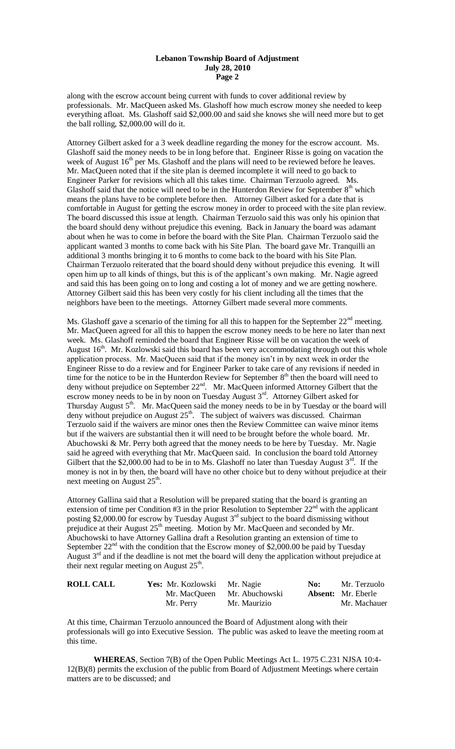## **Lebanon Township Board of Adjustment July 28, 2010 Page 2**

along with the escrow account being current with funds to cover additional review by professionals. Mr. MacQueen asked Ms. Glashoff how much escrow money she needed to keep everything afloat. Ms. Glashoff said \$2,000.00 and said she knows she will need more but to get the ball rolling, \$2,000.00 will do it.

Attorney Gilbert asked for a 3 week deadline regarding the money for the escrow account. Ms. Glashoff said the money needs to be in long before that. Engineer Risse is going on vacation the week of August  $16<sup>th</sup>$  per Ms. Glashoff and the plans will need to be reviewed before he leaves. Mr. MacQueen noted that if the site plan is deemed incomplete it will need to go back to Engineer Parker for revisions which all this takes time. Chairman Terzuolo agreed. Ms. Glashoff said that the notice will need to be in the Hunterdon Review for September  $8<sup>th</sup>$  which means the plans have to be complete before then. Attorney Gilbert asked for a date that is comfortable in August for getting the escrow money in order to proceed with the site plan review. The board discussed this issue at length. Chairman Terzuolo said this was only his opinion that the board should deny without prejudice this evening. Back in January the board was adamant about when he was to come in before the board with the Site Plan. Chairman Terzuolo said the applicant wanted 3 months to come back with his Site Plan. The board gave Mr. Tranquilli an additional 3 months bringing it to 6 months to come back to the board with his Site Plan. Chairman Terzuolo reiterated that the board should deny without prejudice this evening. It will open him up to all kinds of things, but this is of the applicant's own making. Mr. Nagie agreed and said this has been going on to long and costing a lot of money and we are getting nowhere. Attorney Gilbert said this has been very costly for his client including all the times that the neighbors have been to the meetings. Attorney Gilbert made several more comments.

Ms. Glashoff gave a scenario of the timing for all this to happen for the September 22<sup>nd</sup> meeting. Mr. MacQueen agreed for all this to happen the escrow money needs to be here no later than next week. Ms. Glashoff reminded the board that Engineer Risse will be on vacation the week of August  $16<sup>th</sup>$ . Mr. Kozlowski said this board has been very accommodating through out this whole application process. Mr. MacQueen said that if the money isn't in by next week in order the Engineer Risse to do a review and for Engineer Parker to take care of any revisions if needed in time for the notice to be in the Hunterdon Review for September  $8<sup>th</sup>$  then the board will need to deny without prejudice on September  $22<sup>nd</sup>$ . Mr. MacQueen informed Attorney Gilbert that the escrow money needs to be in by noon on Tuesday August 3<sup>rd</sup>. Attorney Gilbert asked for Thursday August  $5<sup>th</sup>$ . Mr. MacQueen said the money needs to be in by Tuesday or the board will deny without prejudice on August  $25<sup>th</sup>$ . The subject of waivers was discussed. Chairman Terzuolo said if the waivers are minor ones then the Review Committee can waive minor items but if the waivers are substantial then it will need to be brought before the whole board. Mr. Abuchowski & Mr. Perry both agreed that the money needs to be here by Tuesday. Mr. Nagie said he agreed with everything that Mr. MacQueen said. In conclusion the board told Attorney Gilbert that the \$2,000.00 had to be in to Ms. Glashoff no later than Tuesday August  $3<sup>rd</sup>$ . If the money is not in by then, the board will have no other choice but to deny without prejudice at their next meeting on August  $25<sup>th</sup>$ .

Attorney Gallina said that a Resolution will be prepared stating that the board is granting an extension of time per Condition  $#3$  in the prior Resolution to September  $22<sup>nd</sup>$  with the applicant posting \$2,000.00 for escrow by Tuesday August  $3<sup>rd</sup>$  subject to the board dismissing without prejudice at their August  $25<sup>th</sup>$  meeting. Motion by Mr. MacQueen and seconded by Mr. Abuchowski to have Attorney Gallina draft a Resolution granting an extension of time to September  $22<sup>nd</sup>$  with the condition that the Escrow money of \$2,000.00 be paid by Tuesday August  $3<sup>rd</sup>$  and if the deadline is not met the board will deny the application without prejudice at their next regular meeting on August  $25<sup>th</sup>$ .

| <b>ROLL CALL</b> | Yes: Mr. Kozlowski Mr. Nagie |                | No: | Mr. Terzuolo              |
|------------------|------------------------------|----------------|-----|---------------------------|
|                  | Mr. MacQueen                 | Mr. Abuchowski |     | <b>Absent:</b> Mr. Eberle |
|                  | Mr. Perry                    | Mr. Maurizio   |     | Mr. Machauer              |

At this time, Chairman Terzuolo announced the Board of Adjustment along with their professionals will go into Executive Session. The public was asked to leave the meeting room at this time.

**WHEREAS**, Section 7(B) of the Open Public Meetings Act L. 1975 C.231 NJSA 10:4- 12(B)(8) permits the exclusion of the public from Board of Adjustment Meetings where certain matters are to be discussed; and